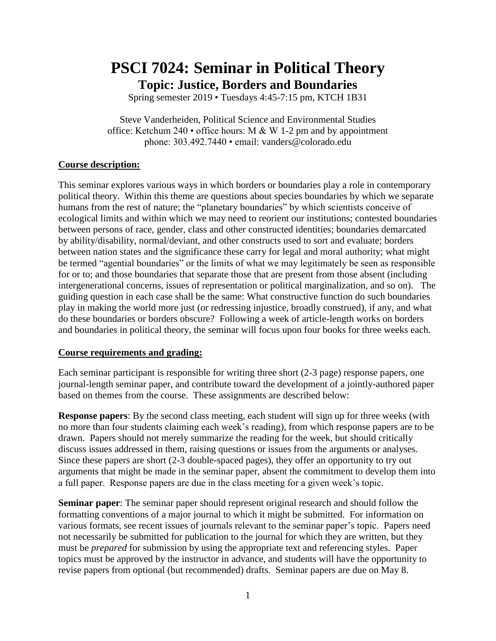# **PSCI 7024: Seminar in Political Theory Topic: Justice, Borders and Boundaries**

Spring semester 2019 • Tuesdays 4:45-7:15 pm, KTCH 1B31

Steve Vanderheiden, Political Science and Environmental Studies office: Ketchum 240  $\cdot$  office hours: M & W 1-2 pm and by appointment phone: 303.492.7440 • email: vanders@colorado.edu

## **Course description:**

This seminar explores various ways in which borders or boundaries play a role in contemporary political theory. Within this theme are questions about species boundaries by which we separate humans from the rest of nature; the "planetary boundaries" by which scientists conceive of ecological limits and within which we may need to reorient our institutions; contested boundaries between persons of race, gender, class and other constructed identities; boundaries demarcated by ability/disability, normal/deviant, and other constructs used to sort and evaluate; borders between nation states and the significance these carry for legal and moral authority; what might be termed "agential boundaries" or the limits of what we may legitimately be seen as responsible for or to; and those boundaries that separate those that are present from those absent (including intergenerational concerns, issues of representation or political marginalization, and so on). The guiding question in each case shall be the same: What constructive function do such boundaries play in making the world more just (or redressing injustice, broadly construed), if any, and what do these boundaries or borders obscure? Following a week of article-length works on borders and boundaries in political theory, the seminar will focus upon four books for three weeks each.

### **Course requirements and grading:**

Each seminar participant is responsible for writing three short (2-3 page) response papers, one journal-length seminar paper, and contribute toward the development of a jointly-authored paper based on themes from the course. These assignments are described below:

**Response papers**: By the second class meeting, each student will sign up for three weeks (with no more than four students claiming each week's reading), from which response papers are to be drawn. Papers should not merely summarize the reading for the week, but should critically discuss issues addressed in them, raising questions or issues from the arguments or analyses. Since these papers are short (2-3 double-spaced pages), they offer an opportunity to try out arguments that might be made in the seminar paper, absent the commitment to develop them into a full paper. Response papers are due in the class meeting for a given week's topic.

**Seminar paper**: The seminar paper should represent original research and should follow the formatting conventions of a major journal to which it might be submitted. For information on various formats, see recent issues of journals relevant to the seminar paper's topic. Papers need not necessarily be submitted for publication to the journal for which they are written, but they must be *prepared* for submission by using the appropriate text and referencing styles. Paper topics must be approved by the instructor in advance, and students will have the opportunity to revise papers from optional (but recommended) drafts. Seminar papers are due on May 8.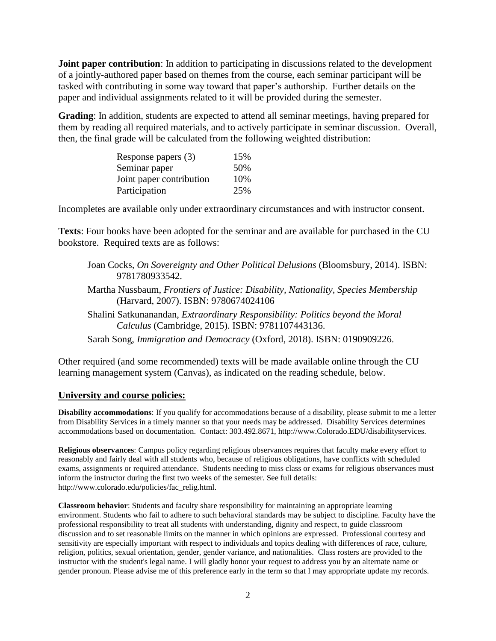**Joint paper contribution**: In addition to participating in discussions related to the development of a jointly-authored paper based on themes from the course, each seminar participant will be tasked with contributing in some way toward that paper's authorship. Further details on the paper and individual assignments related to it will be provided during the semester.

**Grading**: In addition, students are expected to attend all seminar meetings, having prepared for them by reading all required materials, and to actively participate in seminar discussion. Overall, then, the final grade will be calculated from the following weighted distribution:

| Response papers (3)      | 15% |
|--------------------------|-----|
| Seminar paper            | 50% |
| Joint paper contribution | 10% |
| Participation            | 25% |

Incompletes are available only under extraordinary circumstances and with instructor consent.

**Texts**: Four books have been adopted for the seminar and are available for purchased in the CU bookstore. Required texts are as follows:

Joan Cocks, *On Sovereignty and Other Political Delusions* (Bloomsbury, 2014). ISBN: 9781780933542.

- Martha Nussbaum, *Frontiers of Justice: Disability, Nationality, Species Membership* (Harvard, 2007). ISBN: 9780674024106
- Shalini Satkunanandan, *Extraordinary Responsibility: Politics beyond the Moral Calculus* (Cambridge, 2015). ISBN: 9781107443136.
- Sarah Song, *Immigration and Democracy* (Oxford, 2018). ISBN: 0190909226.

Other required (and some recommended) texts will be made available online through the CU learning management system (Canvas), as indicated on the reading schedule, below.

#### **University and course policies:**

**Disability accommodations**: If you qualify for accommodations because of a disability, please submit to me a letter from Disability Services in a timely manner so that your needs may be addressed. Disability Services determines accommodations based on documentation. Contact: 303.492.8671, http://www.Colorado.EDU/disabilityservices.

**Religious observances**: Campus policy regarding religious observances requires that faculty make every effort to reasonably and fairly deal with all students who, because of religious obligations, have conflicts with scheduled exams, assignments or required attendance. Students needing to miss class or exams for religious observances must inform the instructor during the first two weeks of the semester. See full details: http://www.colorado.edu/policies/fac\_relig.html.

**Classroom behavior**: Students and faculty share responsibility for maintaining an appropriate learning environment. Students who fail to adhere to such behavioral standards may be subject to discipline. Faculty have the professional responsibility to treat all students with understanding, dignity and respect, to guide classroom discussion and to set reasonable limits on the manner in which opinions are expressed. Professional courtesy and sensitivity are especially important with respect to individuals and topics dealing with differences of race, culture, religion, politics, sexual orientation, gender, gender variance, and nationalities. Class rosters are provided to the instructor with the student's legal name. I will gladly honor your request to address you by an alternate name or gender pronoun. Please advise me of this preference early in the term so that I may appropriate update my records.